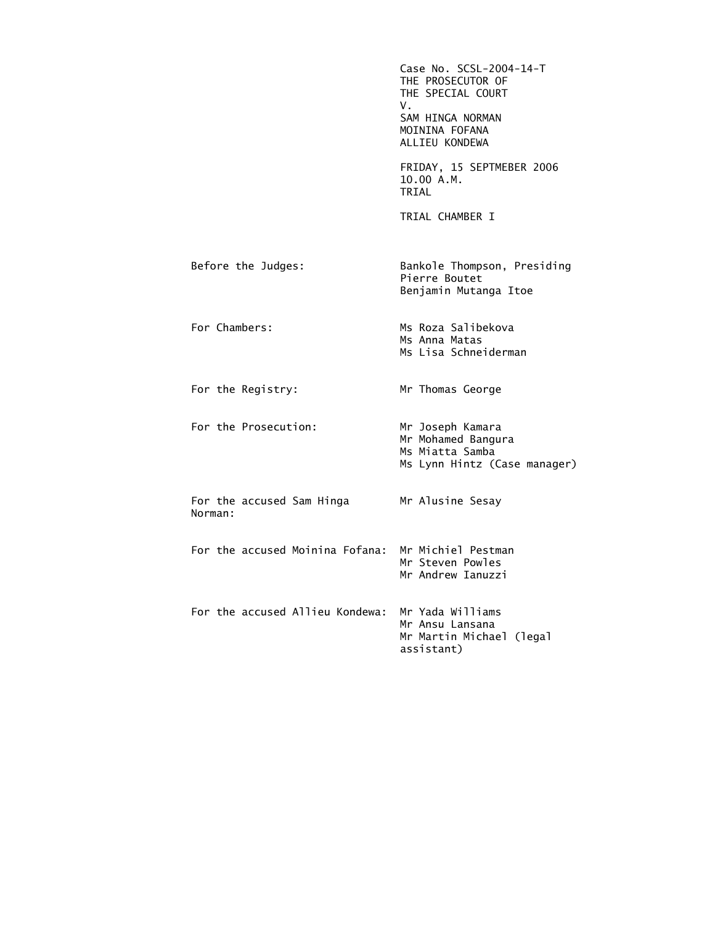|                                      | Case No. SCSL-2004-14-T<br>THE PROSECUTOR OF<br>THE SPECIAL COURT<br>V.<br>SAM HINGA NORMAN<br>MOININA FOFANA<br>ALLIEU KONDEWA |
|--------------------------------------|---------------------------------------------------------------------------------------------------------------------------------|
|                                      | FRIDAY, 15 SEPTMEBER 2006<br>10.00 A.M.<br>TRIAL                                                                                |
|                                      | TRIAL CHAMBER I                                                                                                                 |
| Before the Judges:                   | Bankole Thompson, Presiding<br>Pierre Boutet<br>Benjamin Mutanga Itoe                                                           |
| For Chambers:                        | Ms Roza Salibekova<br>Ms Anna Matas<br>Ms Lisa Schneiderman                                                                     |
| For the Registry:                    | Mr Thomas George                                                                                                                |
| For the Prosecution:                 | Mr Joseph Kamara<br>Mr Mohamed Bangura<br>Ms Miatta Samba<br>Ms Lynn Hintz (Case manager)                                       |
| For the accused Sam Hinga<br>Norman: | Mr Alusine Sesay                                                                                                                |
| For the accused Moinina Fofana:      | Mr Michiel Pestman<br>Mr Steven Powles<br>Mr Andrew Ianuzzi                                                                     |
| For the accused Allieu Kondewa:      | Mr Yada Williams<br>Mr Ansu Lansana<br>Mr Martin Michael (legal<br>assistant)                                                   |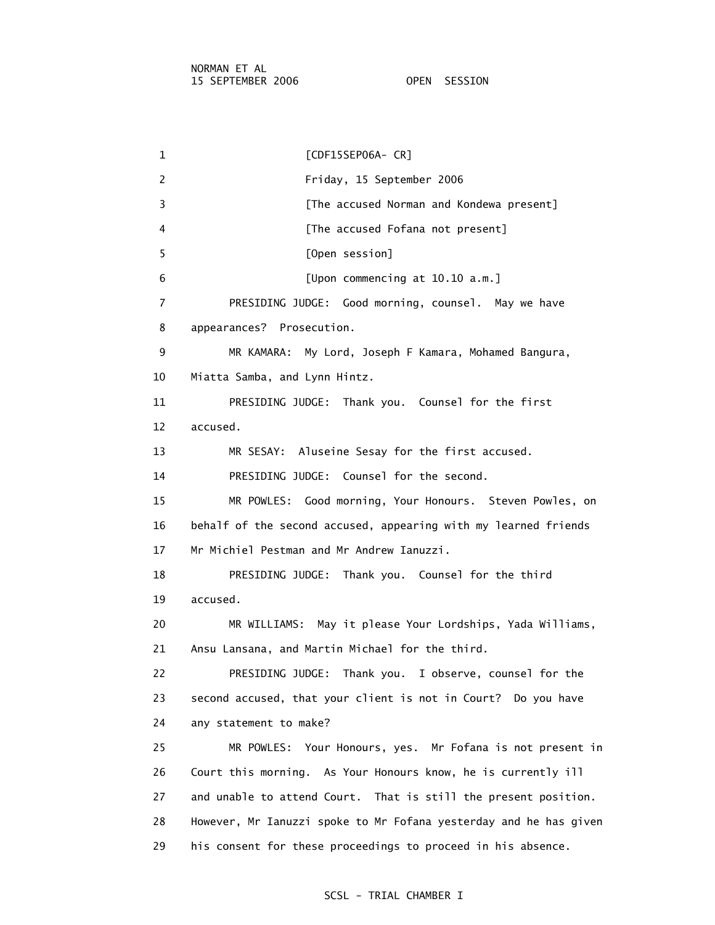1 [CDF15SEP06A- CR] 2 Friday, 15 September 2006 3 **Example 2 [The accused Norman and Kondewa present]** 4 **A [The accused Fofana not present]**  5 [Open session] 6 [Upon commencing at 10.10 a.m.] 7 PRESIDING JUDGE: Good morning, counsel. May we have 8 appearances? Prosecution. 9 MR KAMARA: My Lord, Joseph F Kamara, Mohamed Bangura, 10 Miatta Samba, and Lynn Hintz. 11 PRESIDING JUDGE: Thank you. Counsel for the first 12 accused. 13 MR SESAY: Aluseine Sesay for the first accused. 14 PRESIDING JUDGE: Counsel for the second. 15 MR POWLES: Good morning, Your Honours. Steven Powles, on 16 behalf of the second accused, appearing with my learned friends 17 Mr Michiel Pestman and Mr Andrew Ianuzzi. 18 PRESIDING JUDGE: Thank you. Counsel for the third 19 accused. 20 MR WILLIAMS: May it please Your Lordships, Yada Williams, 21 Ansu Lansana, and Martin Michael for the third. 22 PRESIDING JUDGE: Thank you. I observe, counsel for the 23 second accused, that your client is not in Court? Do you have 24 any statement to make? 25 MR POWLES: Your Honours, yes. Mr Fofana is not present in 26 Court this morning. As Your Honours know, he is currently ill 27 and unable to attend Court. That is still the present position. 28 However, Mr Ianuzzi spoke to Mr Fofana yesterday and he has given 29 his consent for these proceedings to proceed in his absence.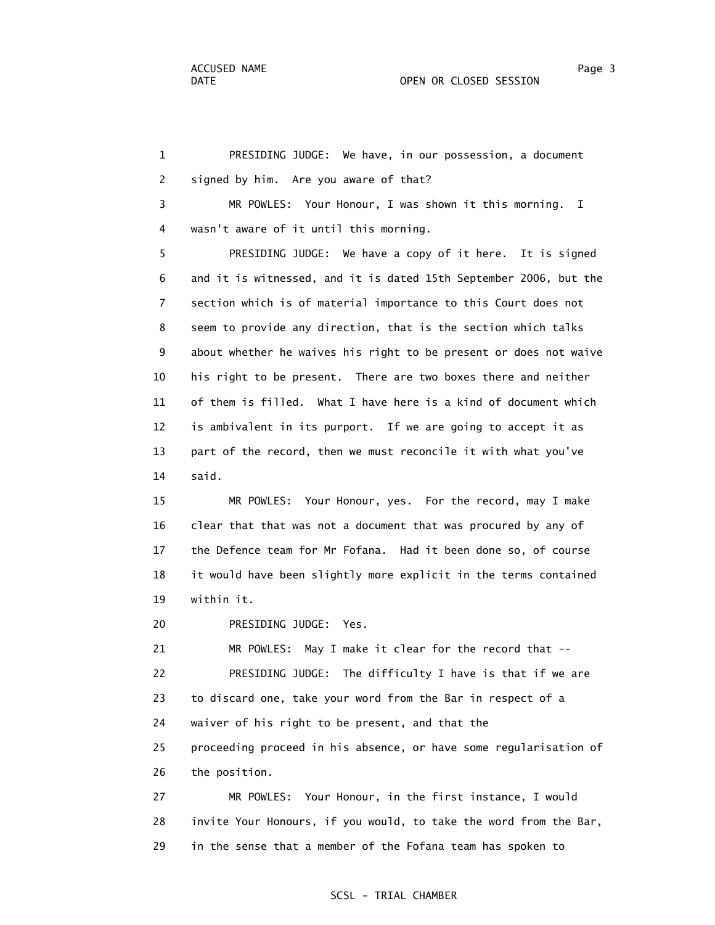1 PRESIDING JUDGE: We have, in our possession, a document 2 signed by him. Are you aware of that? 3 MR POWLES: Your Honour, I was shown it this morning. I 4 wasn't aware of it until this morning. 5 PRESIDING JUDGE: We have a copy of it here. It is signed 6 and it is witnessed, and it is dated 15th September 2006, but the 7 section which is of material importance to this Court does not 8 seem to provide any direction, that is the section which talks 9 about whether he waives his right to be present or does not waive 10 his right to be present. There are two boxes there and neither 11 of them is filled. What I have here is a kind of document which 12 is ambivalent in its purport. If we are going to accept it as 13 part of the record, then we must reconcile it with what you've 14 said. 15 MR POWLES: Your Honour, yes. For the record, may I make 16 clear that that was not a document that was procured by any of

 17 the Defence team for Mr Fofana. Had it been done so, of course 18 it would have been slightly more explicit in the terms contained 19 within it.

20 PRESIDING JUDGE: Yes.

 21 MR POWLES: May I make it clear for the record that -- 22 PRESIDING JUDGE: The difficulty I have is that if we are 23 to discard one, take your word from the Bar in respect of a 24 waiver of his right to be present, and that the 25 proceeding proceed in his absence, or have some regularisation of 26 the position.

 27 MR POWLES: Your Honour, in the first instance, I would 28 invite Your Honours, if you would, to take the word from the Bar, 29 in the sense that a member of the Fofana team has spoken to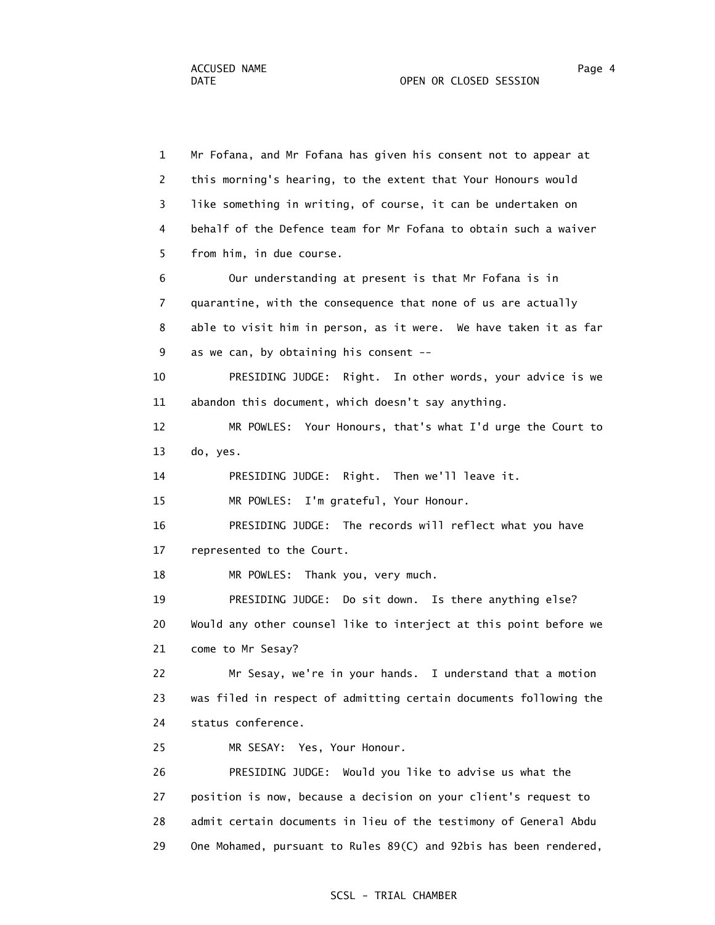1 Mr Fofana, and Mr Fofana has given his consent not to appear at 2 this morning's hearing, to the extent that Your Honours would 3 like something in writing, of course, it can be undertaken on 4 behalf of the Defence team for Mr Fofana to obtain such a waiver 5 from him, in due course. 6 Our understanding at present is that Mr Fofana is in 7 quarantine, with the consequence that none of us are actually 8 able to visit him in person, as it were. We have taken it as far 9 as we can, by obtaining his consent -- 10 PRESIDING JUDGE: Right. In other words, your advice is we 11 abandon this document, which doesn't say anything. 12 MR POWLES: Your Honours, that's what I'd urge the Court to 13 do, yes. 14 PRESIDING JUDGE: Right. Then we'll leave it. 15 MR POWLES: I'm grateful, Your Honour. 16 PRESIDING JUDGE: The records will reflect what you have 17 represented to the Court. 18 MR POWLES: Thank you, very much. 19 PRESIDING JUDGE: Do sit down. Is there anything else? 20 Would any other counsel like to interject at this point before we 21 come to Mr Sesay? 22 Mr Sesay, we're in your hands. I understand that a motion 23 was filed in respect of admitting certain documents following the 24 status conference. 25 MR SESAY: Yes, Your Honour. 26 PRESIDING JUDGE: Would you like to advise us what the 27 position is now, because a decision on your client's request to 28 admit certain documents in lieu of the testimony of General Abdu 29 One Mohamed, pursuant to Rules 89(C) and 92bis has been rendered,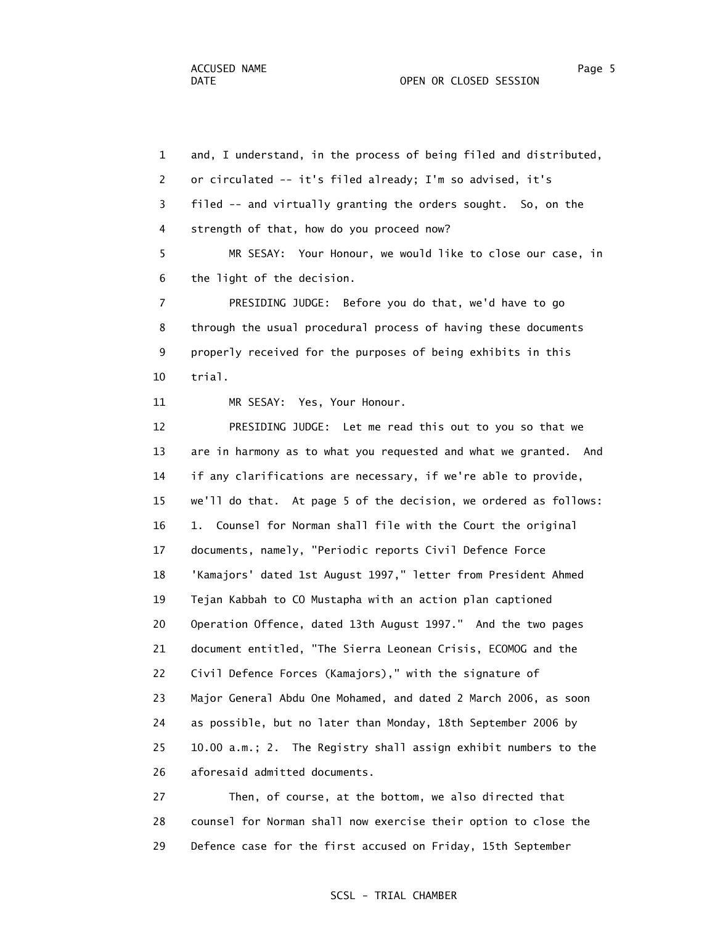1 and, I understand, in the process of being filed and distributed, 2 or circulated -- it's filed already; I'm so advised, it's 3 filed -- and virtually granting the orders sought. So, on the 4 strength of that, how do you proceed now? 5 MR SESAY: Your Honour, we would like to close our case, in 6 the light of the decision. 7 PRESIDING JUDGE: Before you do that, we'd have to go 8 through the usual procedural process of having these documents 9 properly received for the purposes of being exhibits in this 10 trial.

11 MR SESAY: Yes, Your Honour.

 12 PRESIDING JUDGE: Let me read this out to you so that we 13 are in harmony as to what you requested and what we granted. And 14 if any clarifications are necessary, if we're able to provide, 15 we'll do that. At page 5 of the decision, we ordered as follows: 16 1. Counsel for Norman shall file with the Court the original 17 documents, namely, "Periodic reports Civil Defence Force 18 'Kamajors' dated 1st August 1997," letter from President Ahmed 19 Tejan Kabbah to CO Mustapha with an action plan captioned 20 Operation Offence, dated 13th August 1997." And the two pages 21 document entitled, "The Sierra Leonean Crisis, ECOMOG and the 22 Civil Defence Forces (Kamajors)," with the signature of 23 Major General Abdu One Mohamed, and dated 2 March 2006, as soon 24 as possible, but no later than Monday, 18th September 2006 by 25 10.00 a.m.; 2. The Registry shall assign exhibit numbers to the 26 aforesaid admitted documents.

 27 Then, of course, at the bottom, we also directed that 28 counsel for Norman shall now exercise their option to close the 29 Defence case for the first accused on Friday, 15th September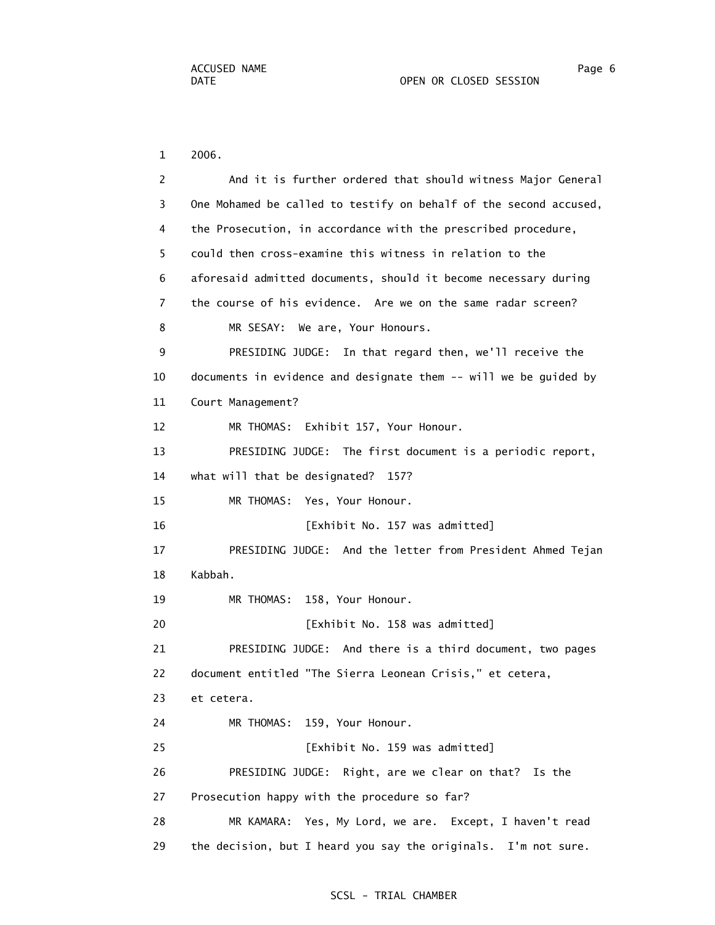1 2006.

| 2  | And it is further ordered that should witness Major General       |
|----|-------------------------------------------------------------------|
| 3  | One Mohamed be called to testify on behalf of the second accused, |
| 4  | the Prosecution, in accordance with the prescribed procedure,     |
| 5  | could then cross-examine this witness in relation to the          |
| 6  | aforesaid admitted documents, should it become necessary during   |
| 7  | the course of his evidence. Are we on the same radar screen?      |
| 8  | We are, Your Honours.<br>MR SESAY:                                |
| 9  | PRESIDING JUDGE: In that regard then, we'll receive the           |
| 10 | documents in evidence and designate them -- will we be guided by  |
| 11 | Court Management?                                                 |
| 12 | MR THOMAS: Exhibit 157, Your Honour.                              |
| 13 | PRESIDING JUDGE: The first document is a periodic report,         |
| 14 | what will that be designated? 157?                                |
| 15 | MR THOMAS: Yes, Your Honour.                                      |
| 16 | [Exhibit No. 157 was admitted]                                    |
| 17 | PRESIDING JUDGE: And the letter from President Ahmed Tejan        |
| 18 | Kabbah.                                                           |
| 19 | 158, Your Honour.<br>MR THOMAS:                                   |
| 20 | [Exhibit No. 158 was admitted]                                    |
| 21 | PRESIDING JUDGE: And there is a third document, two pages         |
| 22 | document entitled "The Sierra Leonean Crisis," et cetera,         |
| 23 | et cetera.                                                        |
| 24 | 159, Your Honour.<br>MR THOMAS:                                   |
| 25 | [Exhibit No. 159 was admitted]                                    |
| 26 | PRESIDING JUDGE: Right, are we clear on that? Is the              |
| 27 | Prosecution happy with the procedure so far?                      |
| 28 | MR KAMARA: Yes, My Lord, we are. Except, I haven't read           |
| 29 | the decision, but I heard you say the originals. I'm not sure.    |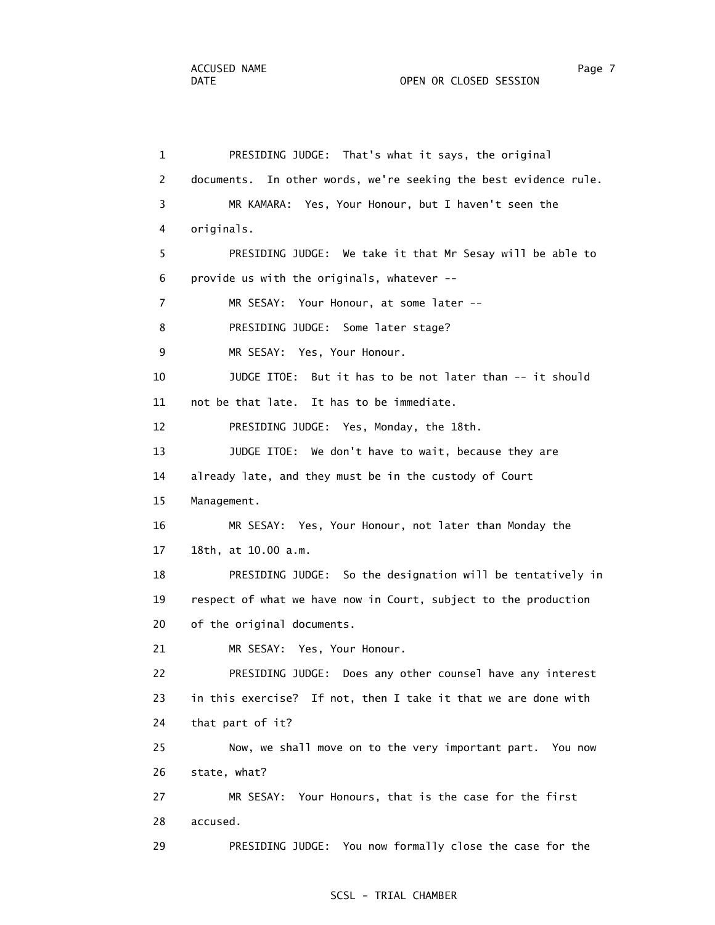#### DATE OPEN OR CLOSED SESSION

 1 PRESIDING JUDGE: That's what it says, the original 2 documents. In other words, we're seeking the best evidence rule. 3 MR KAMARA: Yes, Your Honour, but I haven't seen the 4 originals. 5 PRESIDING JUDGE: We take it that Mr Sesay will be able to 6 provide us with the originals, whatever -- 7 MR SESAY: Your Honour, at some later -- 8 PRESIDING JUDGE: Some later stage? 9 MR SESAY: Yes, Your Honour. 10 JUDGE ITOE: But it has to be not later than -- it should 11 not be that late. It has to be immediate. 12 PRESIDING JUDGE: Yes, Monday, the 18th. 13 JUDGE ITOE: We don't have to wait, because they are 14 already late, and they must be in the custody of Court 15 Management. 16 MR SESAY: Yes, Your Honour, not later than Monday the 17 18th, at 10.00 a.m. 18 PRESIDING JUDGE: So the designation will be tentatively in 19 respect of what we have now in Court, subject to the production 20 of the original documents. 21 MR SESAY: Yes, Your Honour. 22 PRESIDING JUDGE: Does any other counsel have any interest 23 in this exercise? If not, then I take it that we are done with 24 that part of it? 25 Now, we shall move on to the very important part. You now 26 state, what? 27 MR SESAY: Your Honours, that is the case for the first 28 accused. 29 PRESIDING JUDGE: You now formally close the case for the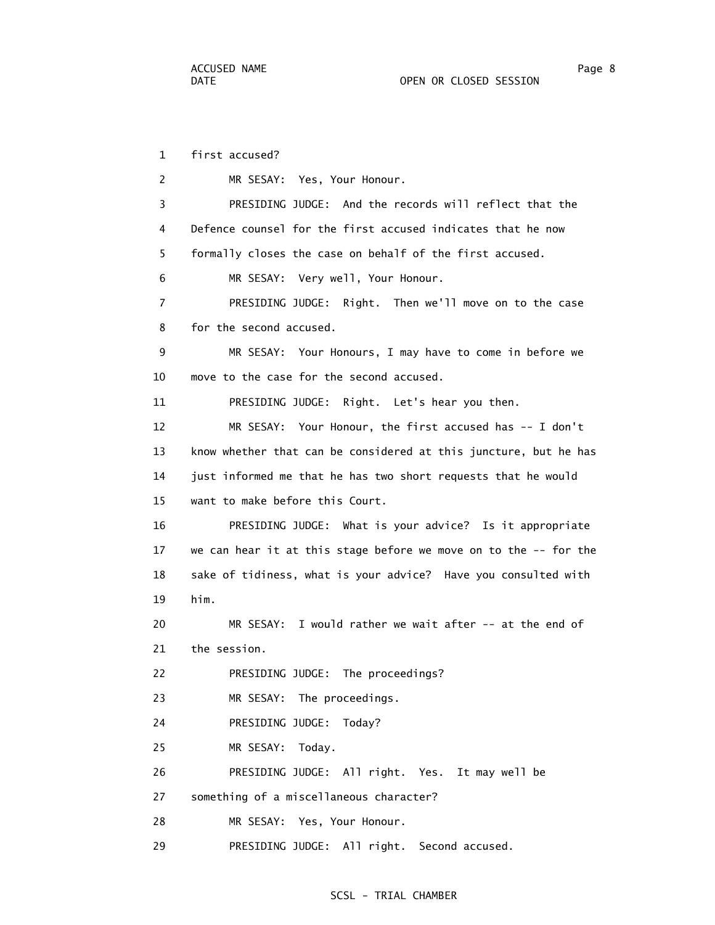1 first accused? 2 MR SESAY: Yes, Your Honour. 3 PRESIDING JUDGE: And the records will reflect that the 4 Defence counsel for the first accused indicates that he now 5 formally closes the case on behalf of the first accused. 6 MR SESAY: Very well, Your Honour. 7 PRESIDING JUDGE: Right. Then we'll move on to the case 8 for the second accused. 9 MR SESAY: Your Honours, I may have to come in before we 10 move to the case for the second accused. 11 PRESIDING JUDGE: Right. Let's hear you then. 12 MR SESAY: Your Honour, the first accused has -- I don't 13 know whether that can be considered at this juncture, but he has 14 just informed me that he has two short requests that he would 15 want to make before this Court. 16 PRESIDING JUDGE: What is your advice? Is it appropriate 17 we can hear it at this stage before we move on to the -- for the 18 sake of tidiness, what is your advice? Have you consulted with 19 him. 20 MR SESAY: I would rather we wait after -- at the end of 21 the session. 22 PRESIDING JUDGE: The proceedings? 23 MR SESAY: The proceedings. 24 PRESIDING JUDGE: Today? 25 MR SESAY: Today. 26 PRESIDING JUDGE: All right. Yes. It may well be 27 something of a miscellaneous character? 28 MR SESAY: Yes, Your Honour. 29 PRESIDING JUDGE: All right. Second accused.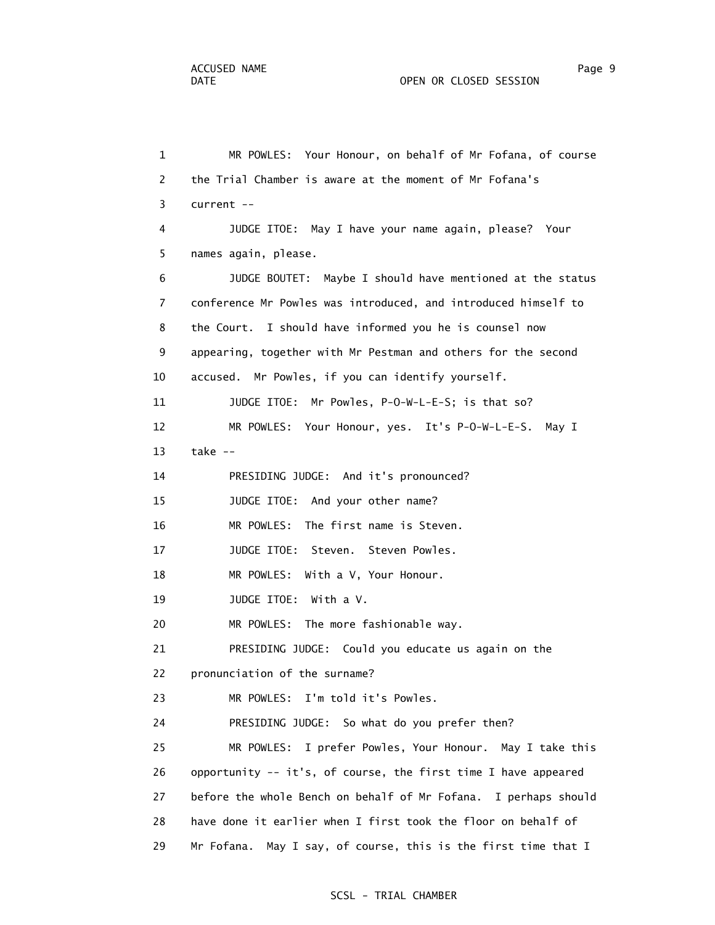1 MR POWLES: Your Honour, on behalf of Mr Fofana, of course 2 the Trial Chamber is aware at the moment of Mr Fofana's 3 current -- 4 JUDGE ITOE: May I have your name again, please? Your 5 names again, please. 6 JUDGE BOUTET: Maybe I should have mentioned at the status 7 conference Mr Powles was introduced, and introduced himself to 8 the Court. I should have informed you he is counsel now 9 appearing, together with Mr Pestman and others for the second 10 accused. Mr Powles, if you can identify yourself. 11 JUDGE ITOE: Mr Powles, P-O-W-L-E-S; is that so? 12 MR POWLES: Your Honour, yes. It's P-O-W-L-E-S. May I 13 take -- 14 PRESIDING JUDGE: And it's pronounced? 15 JUDGE ITOE: And your other name? 16 MR POWLES: The first name is Steven. 17 JUDGE ITOE: Steven. Steven Powles. 18 MR POWLES: With a V, Your Honour. 19 JUDGE ITOE: With a V. 20 MR POWLES: The more fashionable way. 21 PRESIDING JUDGE: Could you educate us again on the 22 pronunciation of the surname? 23 MR POWLES: I'm told it's Powles. 24 PRESIDING JUDGE: So what do you prefer then? 25 MR POWLES: I prefer Powles, Your Honour. May I take this 26 opportunity -- it's, of course, the first time I have appeared 27 before the whole Bench on behalf of Mr Fofana. I perhaps should 28 have done it earlier when I first took the floor on behalf of 29 Mr Fofana. May I say, of course, this is the first time that I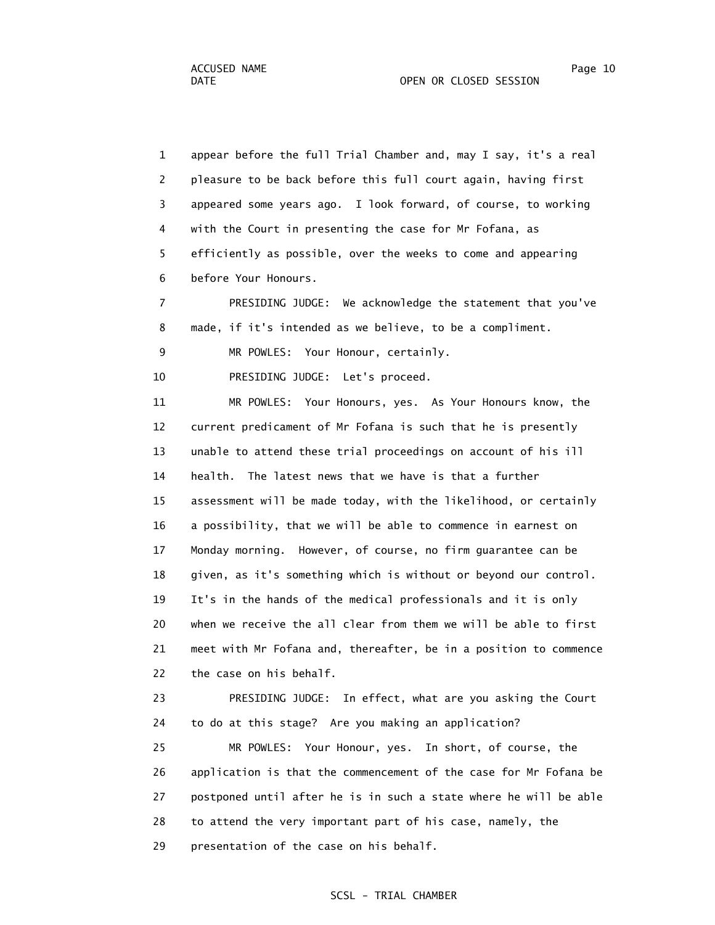1 appear before the full Trial Chamber and, may I say, it's a real 2 pleasure to be back before this full court again, having first 3 appeared some years ago. I look forward, of course, to working 4 with the Court in presenting the case for Mr Fofana, as 5 efficiently as possible, over the weeks to come and appearing 6 before Your Honours.

 7 PRESIDING JUDGE: We acknowledge the statement that you've 8 made, if it's intended as we believe, to be a compliment.

9 MR POWLES: Your Honour, certainly.

10 PRESIDING JUDGE: Let's proceed.

 11 MR POWLES: Your Honours, yes. As Your Honours know, the 12 current predicament of Mr Fofana is such that he is presently 13 unable to attend these trial proceedings on account of his ill 14 health. The latest news that we have is that a further 15 assessment will be made today, with the likelihood, or certainly 16 a possibility, that we will be able to commence in earnest on 17 Monday morning. However, of course, no firm guarantee can be 18 given, as it's something which is without or beyond our control. 19 It's in the hands of the medical professionals and it is only 20 when we receive the all clear from them we will be able to first 21 meet with Mr Fofana and, thereafter, be in a position to commence 22 the case on his behalf.

 23 PRESIDING JUDGE: In effect, what are you asking the Court 24 to do at this stage? Are you making an application? 25 MR POWLES: Your Honour, yes. In short, of course, the

 26 application is that the commencement of the case for Mr Fofana be 27 postponed until after he is in such a state where he will be able 28 to attend the very important part of his case, namely, the 29 presentation of the case on his behalf.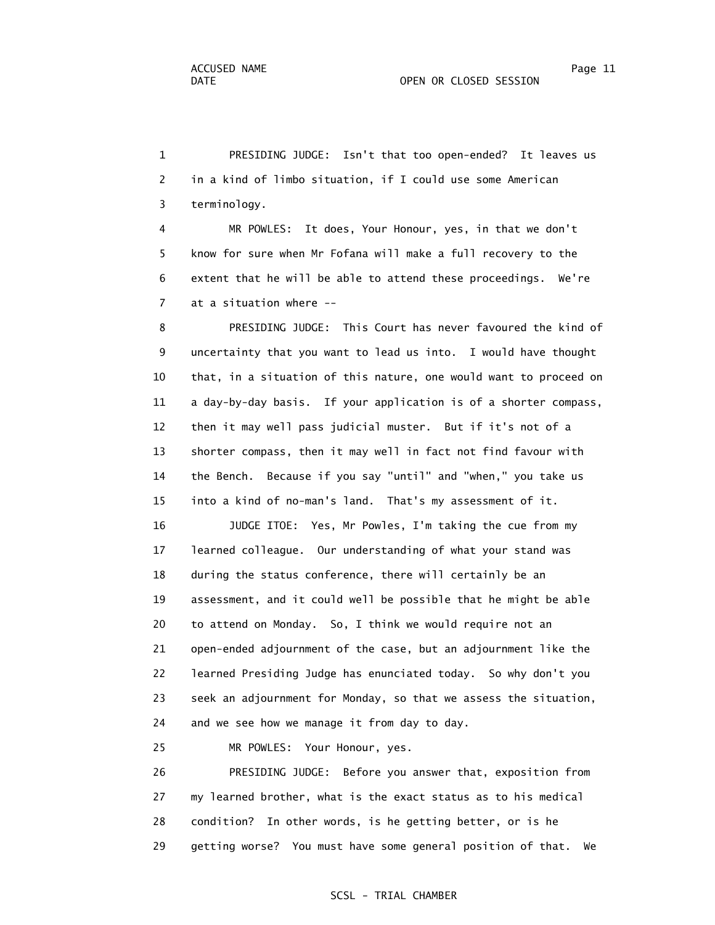1 PRESIDING JUDGE: Isn't that too open-ended? It leaves us 2 in a kind of limbo situation, if I could use some American 3 terminology.

 4 MR POWLES: It does, Your Honour, yes, in that we don't 5 know for sure when Mr Fofana will make a full recovery to the 6 extent that he will be able to attend these proceedings. We're 7 at a situation where --

 8 PRESIDING JUDGE: This Court has never favoured the kind of 9 uncertainty that you want to lead us into. I would have thought 10 that, in a situation of this nature, one would want to proceed on 11 a day-by-day basis. If your application is of a shorter compass, 12 then it may well pass judicial muster. But if it's not of a 13 shorter compass, then it may well in fact not find favour with 14 the Bench. Because if you say "until" and "when," you take us 15 into a kind of no-man's land. That's my assessment of it.

 16 JUDGE ITOE: Yes, Mr Powles, I'm taking the cue from my 17 learned colleague. Our understanding of what your stand was 18 during the status conference, there will certainly be an 19 assessment, and it could well be possible that he might be able 20 to attend on Monday. So, I think we would require not an 21 open-ended adjournment of the case, but an adjournment like the 22 learned Presiding Judge has enunciated today. So why don't you 23 seek an adjournment for Monday, so that we assess the situation, 24 and we see how we manage it from day to day.

25 MR POWLES: Your Honour, yes.

 26 PRESIDING JUDGE: Before you answer that, exposition from 27 my learned brother, what is the exact status as to his medical 28 condition? In other words, is he getting better, or is he 29 getting worse? You must have some general position of that. We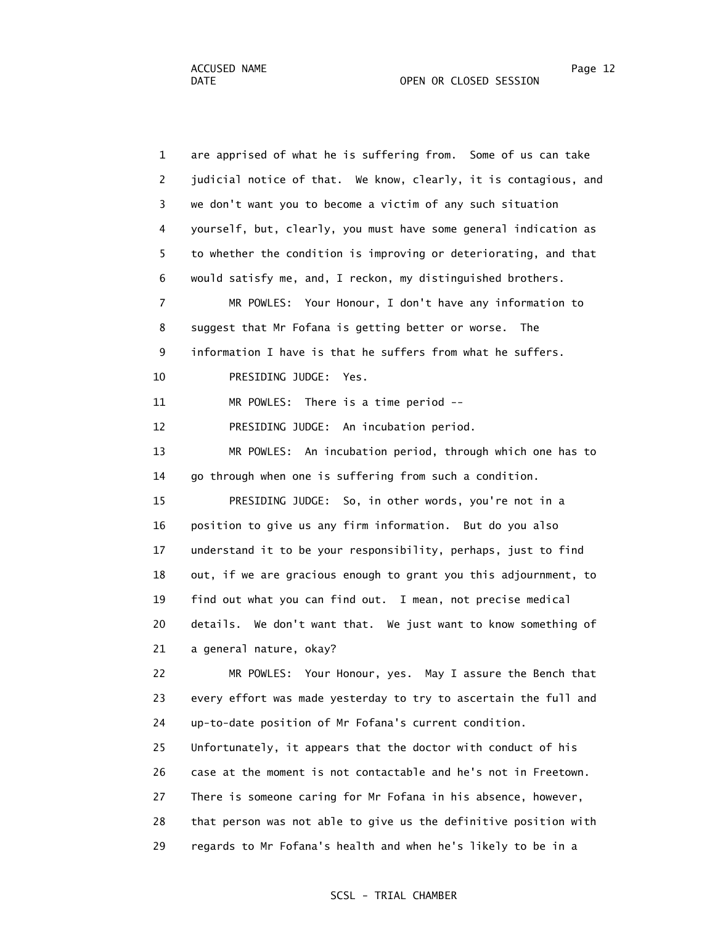1 are apprised of what he is suffering from. Some of us can take 2 judicial notice of that. We know, clearly, it is contagious, and 3 we don't want you to become a victim of any such situation 4 yourself, but, clearly, you must have some general indication as 5 to whether the condition is improving or deteriorating, and that 6 would satisfy me, and, I reckon, my distinguished brothers. 7 MR POWLES: Your Honour, I don't have any information to 8 suggest that Mr Fofana is getting better or worse. The 9 information I have is that he suffers from what he suffers. 10 PRESIDING JUDGE: Yes. 11 MR POWLES: There is a time period -- 12 PRESIDING JUDGE: An incubation period. 13 MR POWLES: An incubation period, through which one has to 14 go through when one is suffering from such a condition. 15 PRESIDING JUDGE: So, in other words, you're not in a 16 position to give us any firm information. But do you also 17 understand it to be your responsibility, perhaps, just to find 18 out, if we are gracious enough to grant you this adjournment, to 19 find out what you can find out. I mean, not precise medical 20 details. We don't want that. We just want to know something of 21 a general nature, okay? 22 MR POWLES: Your Honour, yes. May I assure the Bench that 23 every effort was made yesterday to try to ascertain the full and 24 up-to-date position of Mr Fofana's current condition. 25 Unfortunately, it appears that the doctor with conduct of his 26 case at the moment is not contactable and he's not in Freetown. 27 There is someone caring for Mr Fofana in his absence, however, 28 that person was not able to give us the definitive position with 29 regards to Mr Fofana's health and when he's likely to be in a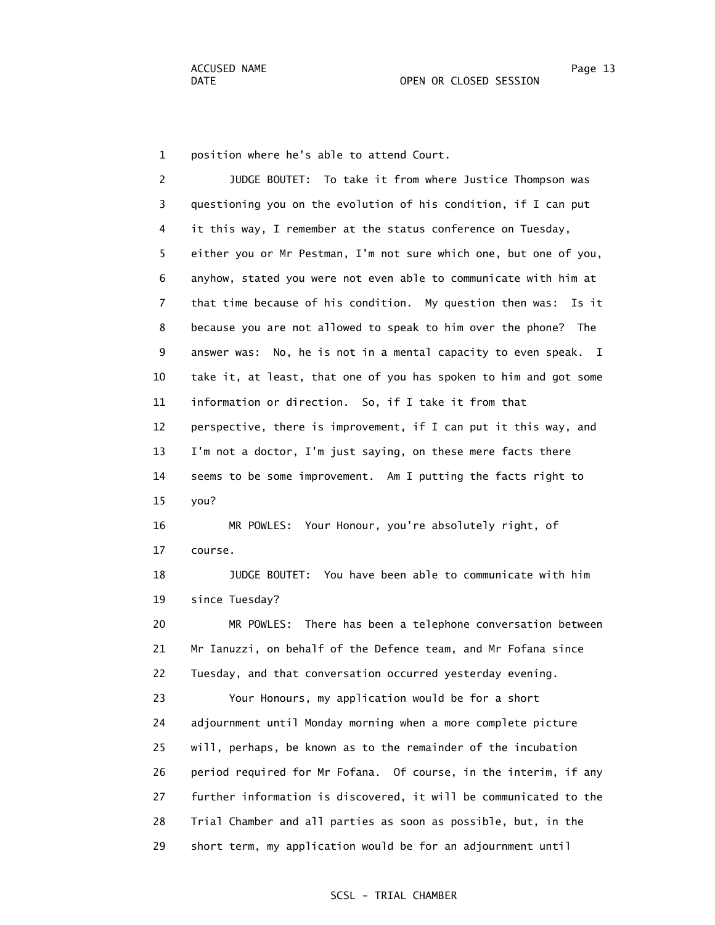1 position where he's able to attend Court.

 2 JUDGE BOUTET: To take it from where Justice Thompson was 3 questioning you on the evolution of his condition, if I can put 4 it this way, I remember at the status conference on Tuesday, 5 either you or Mr Pestman, I'm not sure which one, but one of you, 6 anyhow, stated you were not even able to communicate with him at 7 that time because of his condition. My question then was: Is it 8 because you are not allowed to speak to him over the phone? The 9 answer was: No, he is not in a mental capacity to even speak. I 10 take it, at least, that one of you has spoken to him and got some 11 information or direction. So, if I take it from that 12 perspective, there is improvement, if I can put it this way, and 13 I'm not a doctor, I'm just saying, on these mere facts there 14 seems to be some improvement. Am I putting the facts right to 15 you? 16 MR POWLES: Your Honour, you're absolutely right, of 17 course. 18 JUDGE BOUTET: You have been able to communicate with him 19 since Tuesday? 20 MR POWLES: There has been a telephone conversation between 21 Mr Ianuzzi, on behalf of the Defence team, and Mr Fofana since 22 Tuesday, and that conversation occurred yesterday evening. 23 Your Honours, my application would be for a short 24 adjournment until Monday morning when a more complete picture 25 will, perhaps, be known as to the remainder of the incubation 26 period required for Mr Fofana. Of course, in the interim, if any 27 further information is discovered, it will be communicated to the 28 Trial Chamber and all parties as soon as possible, but, in the 29 short term, my application would be for an adjournment until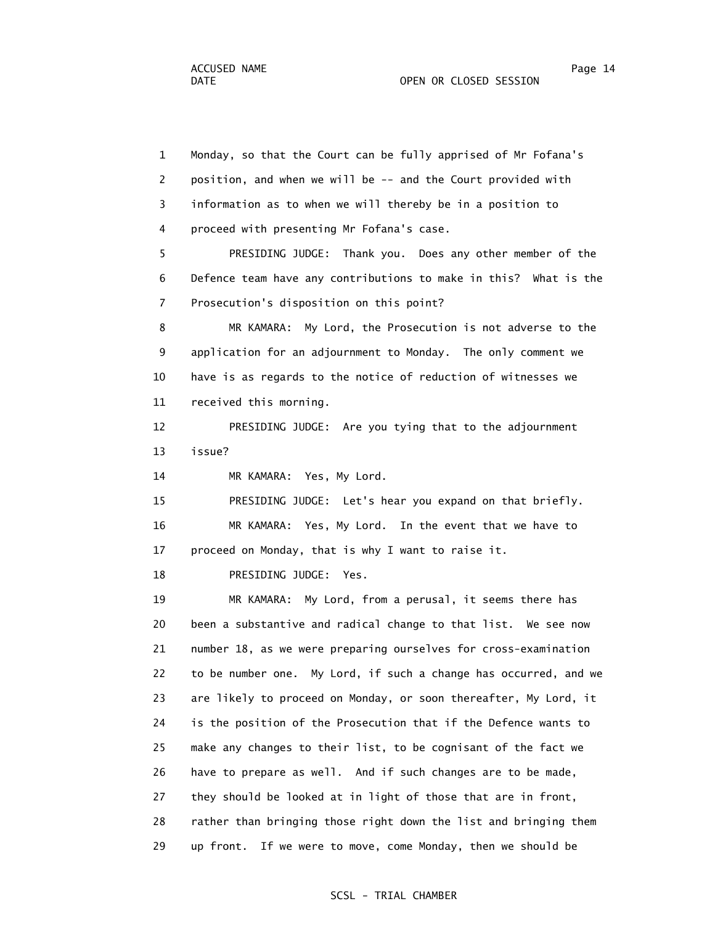1 Monday, so that the Court can be fully apprised of Mr Fofana's 2 position, and when we will be -- and the Court provided with 3 information as to when we will thereby be in a position to 4 proceed with presenting Mr Fofana's case. 5 PRESIDING JUDGE: Thank you. Does any other member of the 6 Defence team have any contributions to make in this? What is the 7 Prosecution's disposition on this point? 8 MR KAMARA: My Lord, the Prosecution is not adverse to the 9 application for an adjournment to Monday. The only comment we 10 have is as regards to the notice of reduction of witnesses we 11 received this morning. 12 PRESIDING JUDGE: Are you tying that to the adjournment 13 issue? 14 MR KAMARA: Yes, My Lord. 15 PRESIDING JUDGE: Let's hear you expand on that briefly. 16 MR KAMARA: Yes, My Lord. In the event that we have to 17 proceed on Monday, that is why I want to raise it. 18 PRESIDING JUDGE: Yes. 19 MR KAMARA: My Lord, from a perusal, it seems there has 20 been a substantive and radical change to that list. We see now 21 number 18, as we were preparing ourselves for cross-examination 22 to be number one. My Lord, if such a change has occurred, and we 23 are likely to proceed on Monday, or soon thereafter, My Lord, it 24 is the position of the Prosecution that if the Defence wants to 25 make any changes to their list, to be cognisant of the fact we 26 have to prepare as well. And if such changes are to be made, 27 they should be looked at in light of those that are in front, 28 rather than bringing those right down the list and bringing them 29 up front. If we were to move, come Monday, then we should be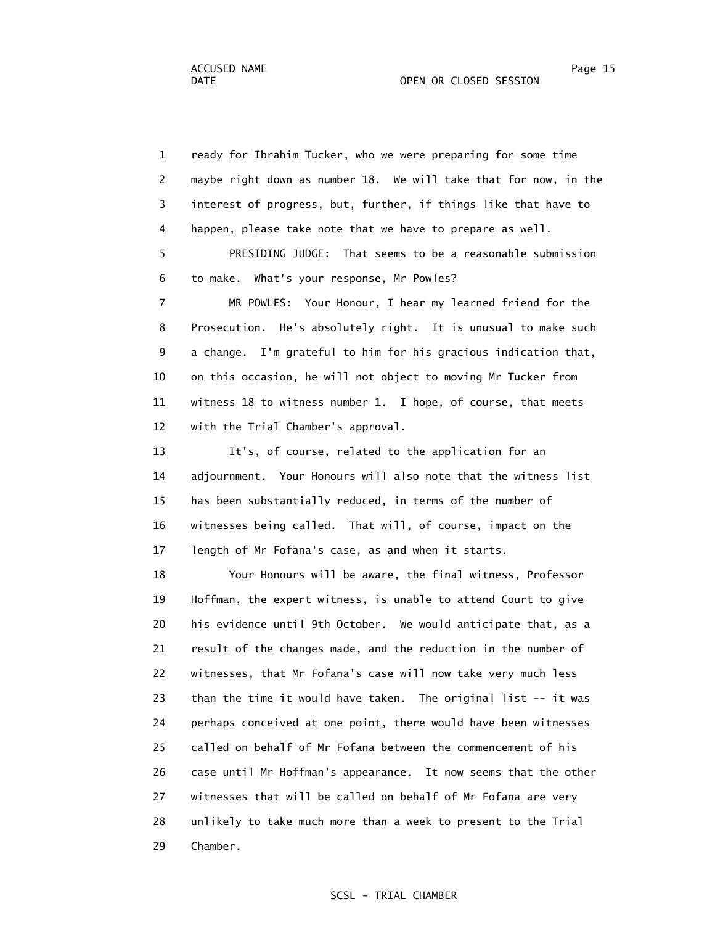1 ready for Ibrahim Tucker, who we were preparing for some time 2 maybe right down as number 18. We will take that for now, in the 3 interest of progress, but, further, if things like that have to 4 happen, please take note that we have to prepare as well. 5 PRESIDING JUDGE: That seems to be a reasonable submission 6 to make. What's your response, Mr Powles? 7 MR POWLES: Your Honour, I hear my learned friend for the 8 Prosecution. He's absolutely right. It is unusual to make such

 9 a change. I'm grateful to him for his gracious indication that, 10 on this occasion, he will not object to moving Mr Tucker from 11 witness 18 to witness number 1. I hope, of course, that meets 12 with the Trial Chamber's approval.

 13 It's, of course, related to the application for an 14 adjournment. Your Honours will also note that the witness list 15 has been substantially reduced, in terms of the number of 16 witnesses being called. That will, of course, impact on the 17 length of Mr Fofana's case, as and when it starts.

 18 Your Honours will be aware, the final witness, Professor 19 Hoffman, the expert witness, is unable to attend Court to give 20 his evidence until 9th October. We would anticipate that, as a 21 result of the changes made, and the reduction in the number of 22 witnesses, that Mr Fofana's case will now take very much less 23 than the time it would have taken. The original list -- it was 24 perhaps conceived at one point, there would have been witnesses 25 called on behalf of Mr Fofana between the commencement of his 26 case until Mr Hoffman's appearance. It now seems that the other 27 witnesses that will be called on behalf of Mr Fofana are very 28 unlikely to take much more than a week to present to the Trial 29 Chamber.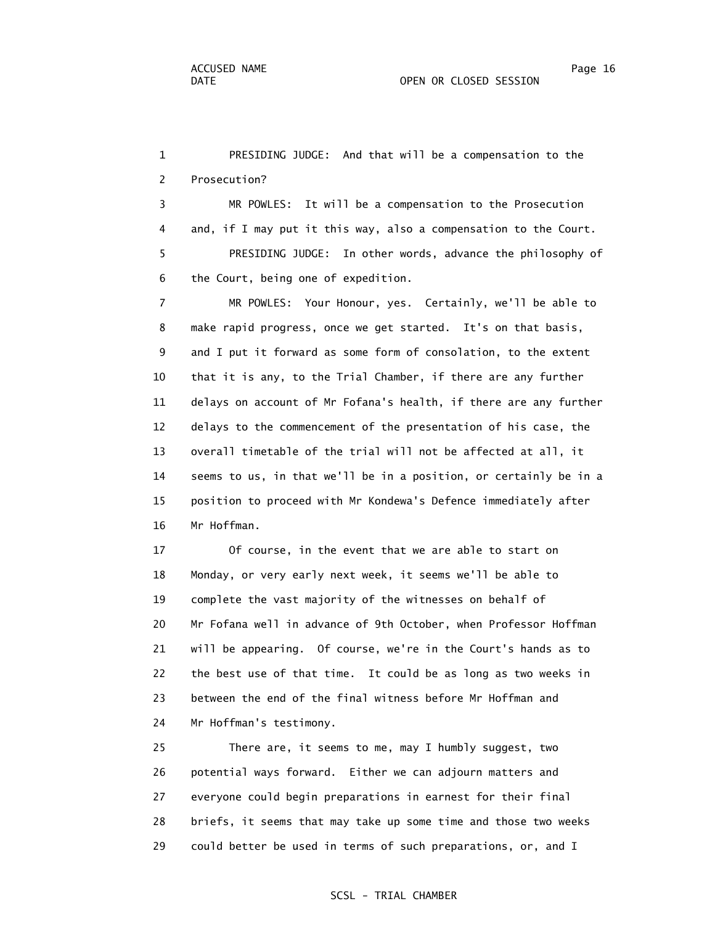1 PRESIDING JUDGE: And that will be a compensation to the 2 Prosecution? 3 MR POWLES: It will be a compensation to the Prosecution 4 and, if I may put it this way, also a compensation to the Court. 5 PRESIDING JUDGE: In other words, advance the philosophy of 6 the Court, being one of expedition. 7 MR POWLES: Your Honour, yes. Certainly, we'll be able to 8 make rapid progress, once we get started. It's on that basis, 9 and I put it forward as some form of consolation, to the extent 10 that it is any, to the Trial Chamber, if there are any further 11 delays on account of Mr Fofana's health, if there are any further

 12 delays to the commencement of the presentation of his case, the 13 overall timetable of the trial will not be affected at all, it 14 seems to us, in that we'll be in a position, or certainly be in a 15 position to proceed with Mr Kondewa's Defence immediately after 16 Mr Hoffman.

 17 Of course, in the event that we are able to start on 18 Monday, or very early next week, it seems we'll be able to 19 complete the vast majority of the witnesses on behalf of 20 Mr Fofana well in advance of 9th October, when Professor Hoffman 21 will be appearing. Of course, we're in the Court's hands as to 22 the best use of that time. It could be as long as two weeks in 23 between the end of the final witness before Mr Hoffman and 24 Mr Hoffman's testimony.

 25 There are, it seems to me, may I humbly suggest, two 26 potential ways forward. Either we can adjourn matters and 27 everyone could begin preparations in earnest for their final 28 briefs, it seems that may take up some time and those two weeks 29 could better be used in terms of such preparations, or, and I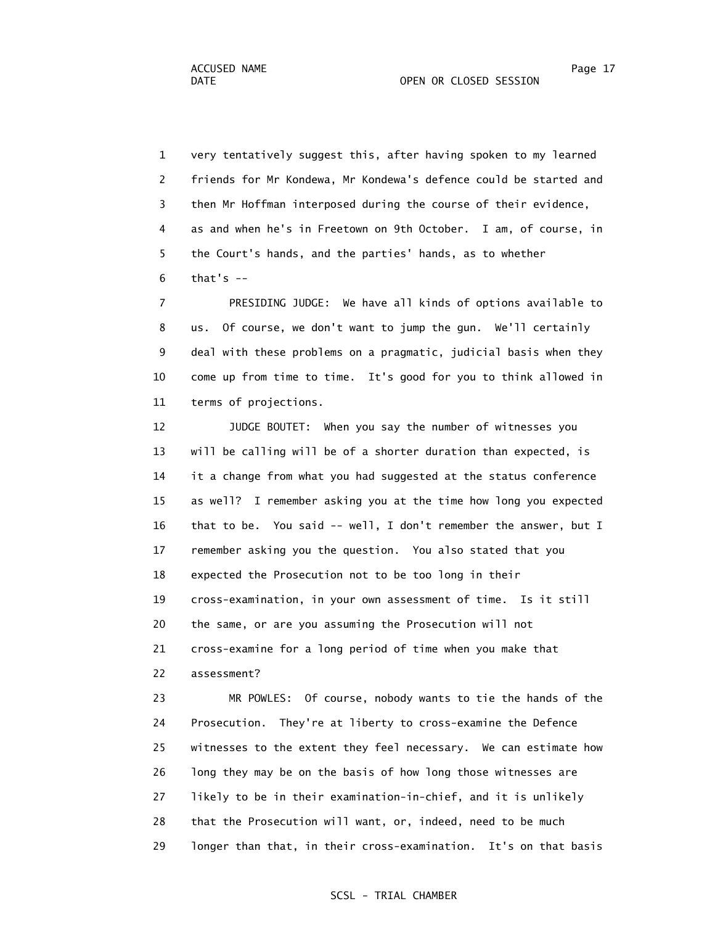1 very tentatively suggest this, after having spoken to my learned 2 friends for Mr Kondewa, Mr Kondewa's defence could be started and 3 then Mr Hoffman interposed during the course of their evidence, 4 as and when he's in Freetown on 9th October. I am, of course, in 5 the Court's hands, and the parties' hands, as to whether  $6$  that's  $-$ 

 7 PRESIDING JUDGE: We have all kinds of options available to 8 us. Of course, we don't want to jump the gun. We'll certainly 9 deal with these problems on a pragmatic, judicial basis when they 10 come up from time to time. It's good for you to think allowed in 11 terms of projections.

 12 JUDGE BOUTET: When you say the number of witnesses you 13 will be calling will be of a shorter duration than expected, is 14 it a change from what you had suggested at the status conference 15 as well? I remember asking you at the time how long you expected 16 that to be. You said -- well, I don't remember the answer, but I 17 remember asking you the question. You also stated that you 18 expected the Prosecution not to be too long in their 19 cross-examination, in your own assessment of time. Is it still 20 the same, or are you assuming the Prosecution will not 21 cross-examine for a long period of time when you make that 22 assessment?

 23 MR POWLES: Of course, nobody wants to tie the hands of the 24 Prosecution. They're at liberty to cross-examine the Defence 25 witnesses to the extent they feel necessary. We can estimate how 26 long they may be on the basis of how long those witnesses are 27 likely to be in their examination-in-chief, and it is unlikely 28 that the Prosecution will want, or, indeed, need to be much 29 longer than that, in their cross-examination. It's on that basis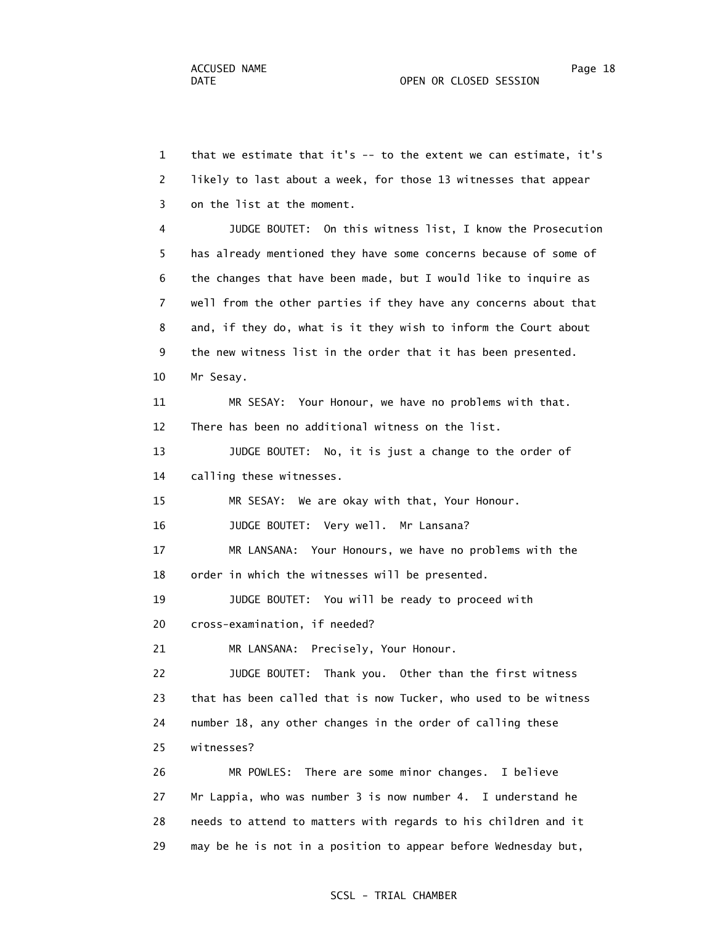1 that we estimate that it's -- to the extent we can estimate, it's 2 likely to last about a week, for those 13 witnesses that appear 3 on the list at the moment. 4 JUDGE BOUTET: On this witness list, I know the Prosecution 5 has already mentioned they have some concerns because of some of 6 the changes that have been made, but I would like to inquire as 7 well from the other parties if they have any concerns about that 8 and, if they do, what is it they wish to inform the Court about 9 the new witness list in the order that it has been presented. 10 Mr Sesay. 11 MR SESAY: Your Honour, we have no problems with that. 12 There has been no additional witness on the list. 13 JUDGE BOUTET: No, it is just a change to the order of 14 calling these witnesses. 15 MR SESAY: We are okay with that, Your Honour. 16 JUDGE BOUTET: Very well. Mr Lansana? 17 MR LANSANA: Your Honours, we have no problems with the 18 order in which the witnesses will be presented. 19 JUDGE BOUTET: You will be ready to proceed with 20 cross-examination, if needed? 21 MR LANSANA: Precisely, Your Honour. 22 JUDGE BOUTET: Thank you. Other than the first witness 23 that has been called that is now Tucker, who used to be witness 24 number 18, any other changes in the order of calling these 25 witnesses? 26 MR POWLES: There are some minor changes. I believe 27 Mr Lappia, who was number 3 is now number 4. I understand he 28 needs to attend to matters with regards to his children and it

29 may be he is not in a position to appear before Wednesday but,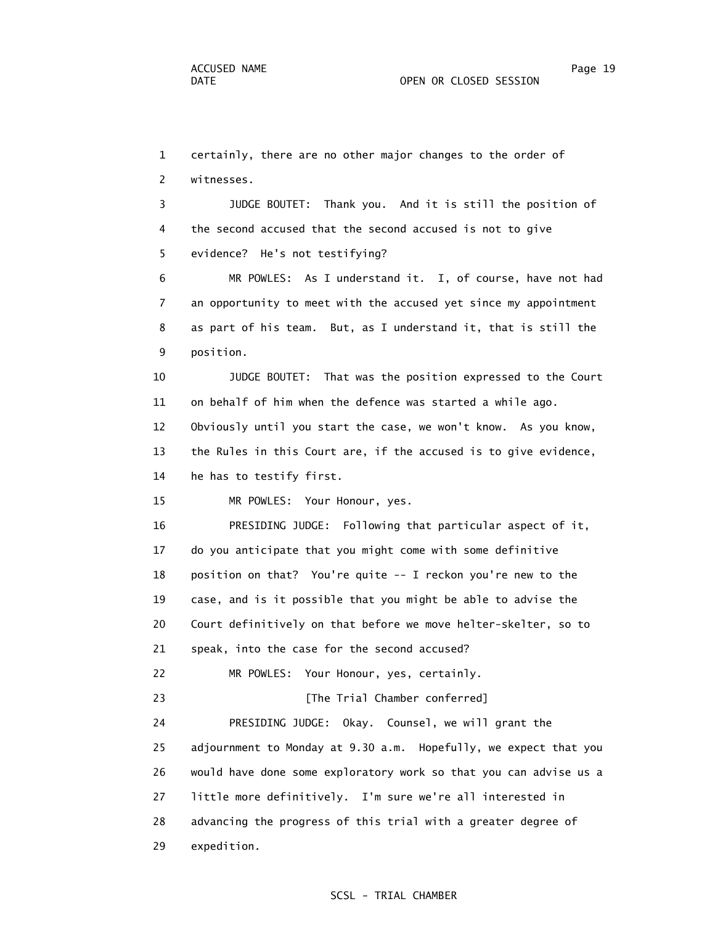1 certainly, there are no other major changes to the order of 2 witnesses. 3 JUDGE BOUTET: Thank you. And it is still the position of 4 the second accused that the second accused is not to give 5 evidence? He's not testifying? 6 MR POWLES: As I understand it. I, of course, have not had 7 an opportunity to meet with the accused yet since my appointment 8 as part of his team. But, as I understand it, that is still the 9 position. 10 JUDGE BOUTET: That was the position expressed to the Court 11 on behalf of him when the defence was started a while ago. 12 Obviously until you start the case, we won't know. As you know, 13 the Rules in this Court are, if the accused is to give evidence, 14 he has to testify first. 15 MR POWLES: Your Honour, yes. 16 PRESIDING JUDGE: Following that particular aspect of it, 17 do you anticipate that you might come with some definitive 18 position on that? You're quite -- I reckon you're new to the 19 case, and is it possible that you might be able to advise the 20 Court definitively on that before we move helter-skelter, so to 21 speak, into the case for the second accused? 22 MR POWLES: Your Honour, yes, certainly. 23 **Example 23** [The Trial Chamber conferred] 24 PRESIDING JUDGE: Okay. Counsel, we will grant the 25 adjournment to Monday at 9.30 a.m. Hopefully, we expect that you 26 would have done some exploratory work so that you can advise us a 27 little more definitively. I'm sure we're all interested in 28 advancing the progress of this trial with a greater degree of 29 expedition.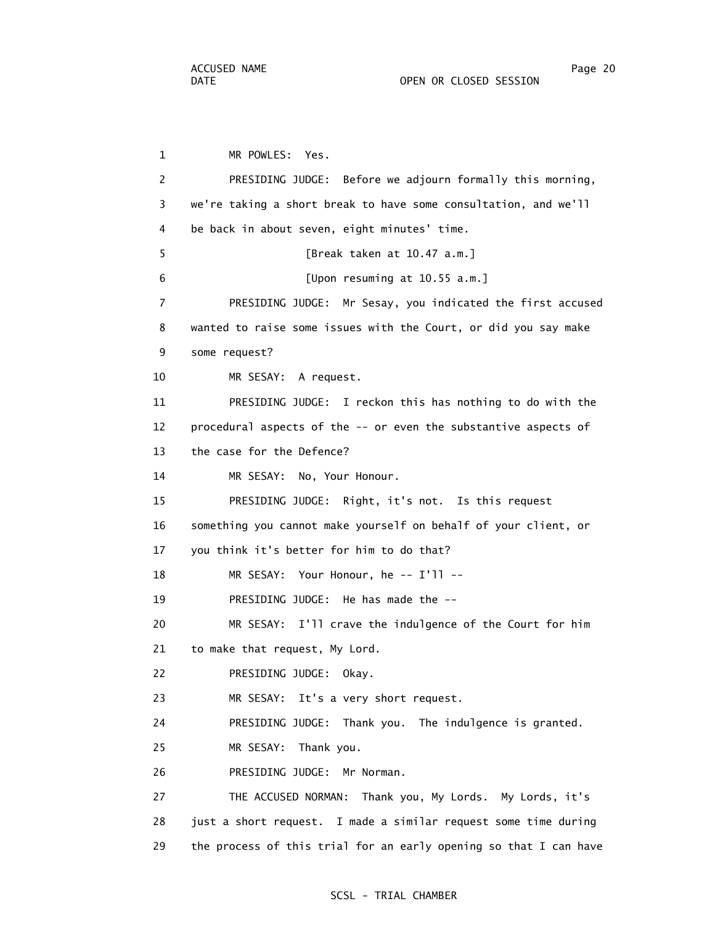1 MR POWLES: Yes. 2 PRESIDING JUDGE: Before we adjourn formally this morning, 3 we're taking a short break to have some consultation, and we'll 4 be back in about seven, eight minutes' time. 5 [Break taken at 10.47 a.m.] 6 [Upon resuming at 10.55 a.m.] 7 PRESIDING JUDGE: Mr Sesay, you indicated the first accused 8 wanted to raise some issues with the Court, or did you say make 9 some request? 10 MR SESAY: A request. 11 PRESIDING JUDGE: I reckon this has nothing to do with the 12 procedural aspects of the -- or even the substantive aspects of 13 the case for the Defence? 14 MR SESAY: No, Your Honour. 15 PRESIDING JUDGE: Right, it's not. Is this request 16 something you cannot make yourself on behalf of your client, or 17 you think it's better for him to do that? 18 MR SESAY: Your Honour, he -- I'll -- 19 PRESIDING JUDGE: He has made the -- 20 MR SESAY: I'll crave the indulgence of the Court for him 21 to make that request, My Lord. 22 PRESIDING JUDGE: Okay. 23 MR SESAY: It's a very short request. 24 PRESIDING JUDGE: Thank you. The indulgence is granted. 25 MR SESAY: Thank you. 26 PRESIDING JUDGE: Mr Norman. 27 THE ACCUSED NORMAN: Thank you, My Lords. My Lords, it's 28 just a short request. I made a similar request some time during 29 the process of this trial for an early opening so that I can have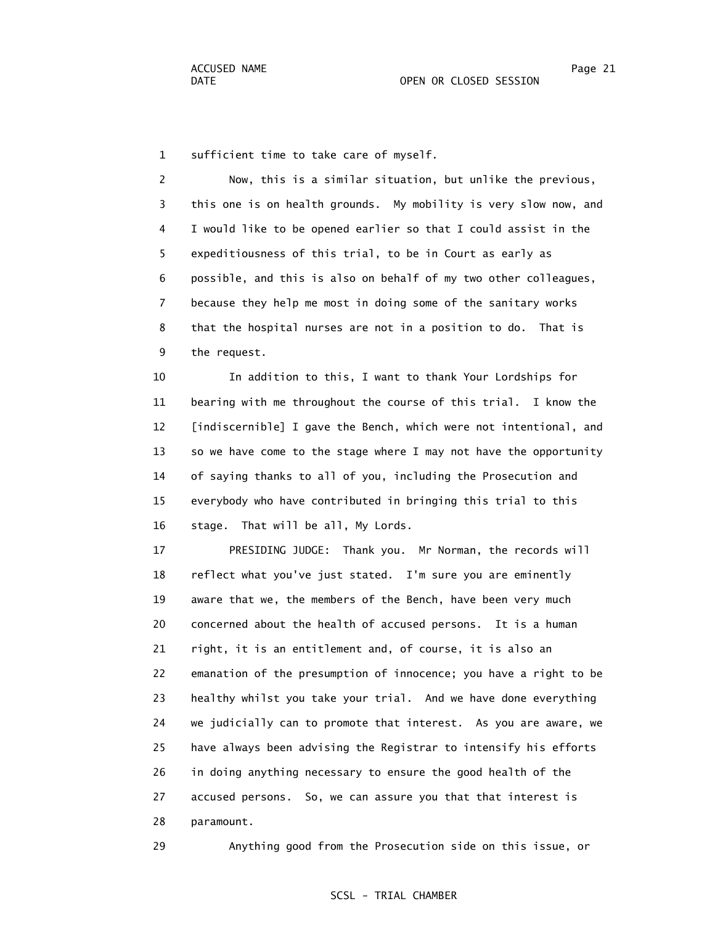1 sufficient time to take care of myself.

 2 Now, this is a similar situation, but unlike the previous, 3 this one is on health grounds. My mobility is very slow now, and 4 I would like to be opened earlier so that I could assist in the 5 expeditiousness of this trial, to be in Court as early as 6 possible, and this is also on behalf of my two other colleagues, 7 because they help me most in doing some of the sanitary works 8 that the hospital nurses are not in a position to do. That is 9 the request.

 10 In addition to this, I want to thank Your Lordships for 11 bearing with me throughout the course of this trial. I know the 12 [indiscernible] I gave the Bench, which were not intentional, and 13 so we have come to the stage where I may not have the opportunity 14 of saying thanks to all of you, including the Prosecution and 15 everybody who have contributed in bringing this trial to this 16 stage. That will be all, My Lords.

 17 PRESIDING JUDGE: Thank you. Mr Norman, the records will 18 reflect what you've just stated. I'm sure you are eminently 19 aware that we, the members of the Bench, have been very much 20 concerned about the health of accused persons. It is a human 21 right, it is an entitlement and, of course, it is also an 22 emanation of the presumption of innocence; you have a right to be 23 healthy whilst you take your trial. And we have done everything 24 we judicially can to promote that interest. As you are aware, we 25 have always been advising the Registrar to intensify his efforts 26 in doing anything necessary to ensure the good health of the 27 accused persons. So, we can assure you that that interest is 28 paramount.

29 Anything good from the Prosecution side on this issue, or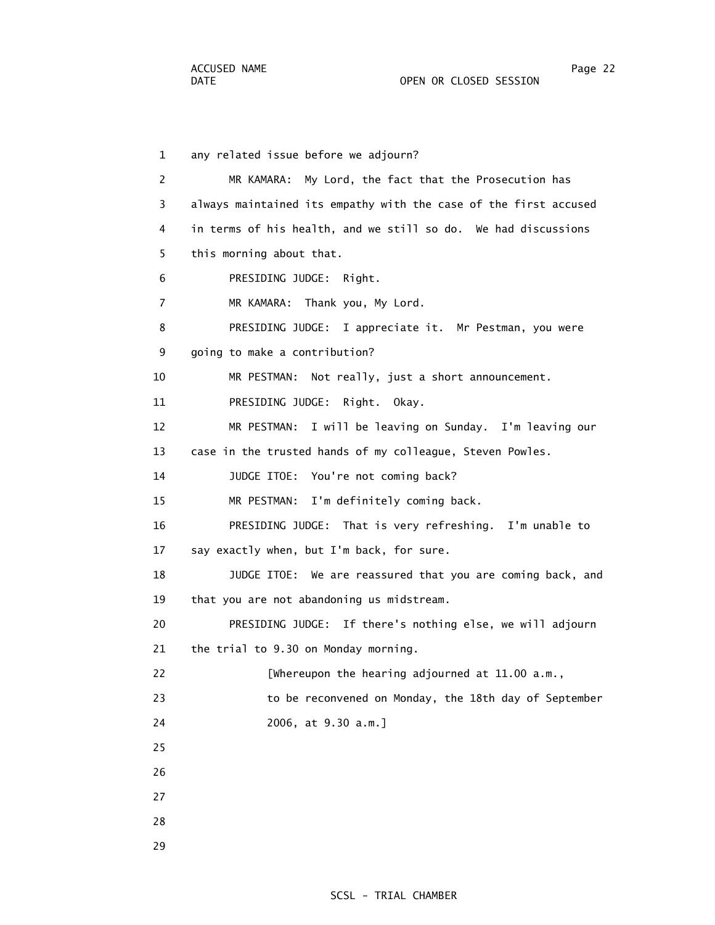1 any related issue before we adjourn? 2 MR KAMARA: My Lord, the fact that the Prosecution has 3 always maintained its empathy with the case of the first accused 4 in terms of his health, and we still so do. We had discussions 5 this morning about that. 6 PRESIDING JUDGE: Right. 7 MR KAMARA: Thank you, My Lord. 8 PRESIDING JUDGE: I appreciate it. Mr Pestman, you were 9 going to make a contribution? 10 MR PESTMAN: Not really, just a short announcement. 11 PRESIDING JUDGE: Right. Okay. 12 MR PESTMAN: I will be leaving on Sunday. I'm leaving our 13 case in the trusted hands of my colleague, Steven Powles. 14 JUDGE ITOE: You're not coming back? 15 MR PESTMAN: I'm definitely coming back. 16 PRESIDING JUDGE: That is very refreshing. I'm unable to 17 say exactly when, but I'm back, for sure. 18 JUDGE ITOE: We are reassured that you are coming back, and 19 that you are not abandoning us midstream. 20 PRESIDING JUDGE: If there's nothing else, we will adjourn 21 the trial to 9.30 on Monday morning. 22 [Whereupon the hearing adjourned at 11.00 a.m., 23 to be reconvened on Monday, the 18th day of September 24 2006, at 9.30 a.m.] 25 26 27 28 29